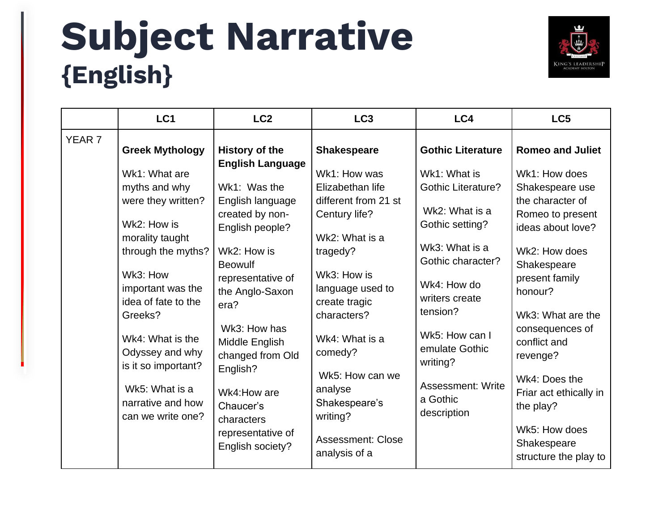## **Subject Narrative {English}**



|                   | LC <sub>1</sub>                                                                                    | LC <sub>2</sub>                                                                                                | LC <sub>3</sub>                                                                                | LC4                                                                                                   | LC <sub>5</sub>                                                                                              |
|-------------------|----------------------------------------------------------------------------------------------------|----------------------------------------------------------------------------------------------------------------|------------------------------------------------------------------------------------------------|-------------------------------------------------------------------------------------------------------|--------------------------------------------------------------------------------------------------------------|
| YEAR <sub>7</sub> | <b>Greek Mythology</b><br>Wk1: What are                                                            | <b>History of the</b><br><b>English Language</b>                                                               | <b>Shakespeare</b><br>Wk1: How was                                                             | <b>Gothic Literature</b><br>Wk1: What is                                                              | <b>Romeo and Juliet</b><br>Wk1: How does                                                                     |
|                   | myths and why<br>were they written?<br>Wk2: How is<br>morality taught<br>through the myths?        | Wk1: Was the<br>English language<br>created by non-<br>English people?<br>Wk2: How is<br><b>Beowulf</b>        | Elizabethan life<br>different from 21 st<br>Century life?<br>Wk2: What is a<br>tragedy?        | <b>Gothic Literature?</b><br>Wk2: What is a<br>Gothic setting?<br>Wk3: What is a<br>Gothic character? | Shakespeare use<br>the character of<br>Romeo to present<br>ideas about love?<br>Wk2: How does<br>Shakespeare |
|                   | Wk3: How<br>important was the<br>idea of fate to the<br>Greeks?<br>Wk4: What is the                | representative of<br>the Anglo-Saxon<br>era?<br>Wk3: How has                                                   | Wk3: How is<br>language used to<br>create tragic<br>characters?<br>Wk4: What is a              | Wk4: How do<br>writers create<br>tension?<br>Wk5: How can I                                           | present family<br>honour?<br>Wk3: What are the<br>consequences of<br>conflict and                            |
|                   | Odyssey and why<br>is it so important?<br>Wk5: What is a<br>narrative and how<br>can we write one? | Middle English<br>changed from Old<br>English?<br>Wk4: How are<br>Chaucer's<br>characters<br>representative of | comedy?<br>Wk5: How can we<br>analyse<br>Shakespeare's<br>writing?<br><b>Assessment: Close</b> | emulate Gothic<br>writing?<br><b>Assessment: Write</b><br>a Gothic<br>description                     | revenge?<br>Wk4: Does the<br>Friar act ethically in<br>the play?<br>Wk5: How does<br>Shakespeare             |
|                   |                                                                                                    | English society?                                                                                               | analysis of a                                                                                  |                                                                                                       | structure the play to                                                                                        |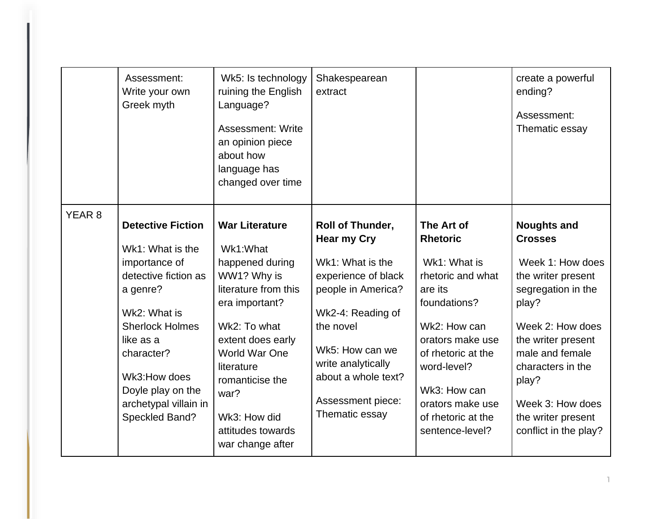|                   | Assessment:<br>Write your own<br>Greek myth                                                                                                                                                                                                            | Wk5: Is technology<br>ruining the English<br>Language?<br><b>Assessment: Write</b><br>an opinion piece<br>about how<br>language has<br>changed over time                                                                                                                     | Shakespearean<br>extract                                                                                                                                                                                                                         |                                                                                                                                                                                                                                                     | create a powerful<br>ending?<br>Assessment:<br>Thematic essay                                                                                                                                                                                                               |
|-------------------|--------------------------------------------------------------------------------------------------------------------------------------------------------------------------------------------------------------------------------------------------------|------------------------------------------------------------------------------------------------------------------------------------------------------------------------------------------------------------------------------------------------------------------------------|--------------------------------------------------------------------------------------------------------------------------------------------------------------------------------------------------------------------------------------------------|-----------------------------------------------------------------------------------------------------------------------------------------------------------------------------------------------------------------------------------------------------|-----------------------------------------------------------------------------------------------------------------------------------------------------------------------------------------------------------------------------------------------------------------------------|
| YEAR <sub>8</sub> | <b>Detective Fiction</b><br>Wk1: What is the<br>importance of<br>detective fiction as<br>a genre?<br>Wk2: What is<br><b>Sherlock Holmes</b><br>like as a<br>character?<br>Wk3:How does<br>Doyle play on the<br>archetypal villain in<br>Speckled Band? | <b>War Literature</b><br>Wk1:What<br>happened during<br>WW1? Why is<br>literature from this<br>era important?<br>Wk2: To what<br>extent does early<br><b>World War One</b><br>literature<br>romanticise the<br>war?<br>Wk3: How did<br>attitudes towards<br>war change after | Roll of Thunder,<br><b>Hear my Cry</b><br>Wk1: What is the<br>experience of black<br>people in America?<br>Wk2-4: Reading of<br>the novel<br>Wk5: How can we<br>write analytically<br>about a whole text?<br>Assessment piece:<br>Thematic essay | The Art of<br><b>Rhetoric</b><br>Wk1: What is<br>rhetoric and what<br>are its<br>foundations?<br>Wk2: How can<br>orators make use<br>of rhetoric at the<br>word-level?<br>Wk3: How can<br>orators make use<br>of rhetoric at the<br>sentence-level? | <b>Noughts and</b><br><b>Crosses</b><br>Week 1: How does<br>the writer present<br>segregation in the<br>play?<br>Week 2: How does<br>the writer present<br>male and female<br>characters in the<br>play?<br>Week 3: How does<br>the writer present<br>conflict in the play? |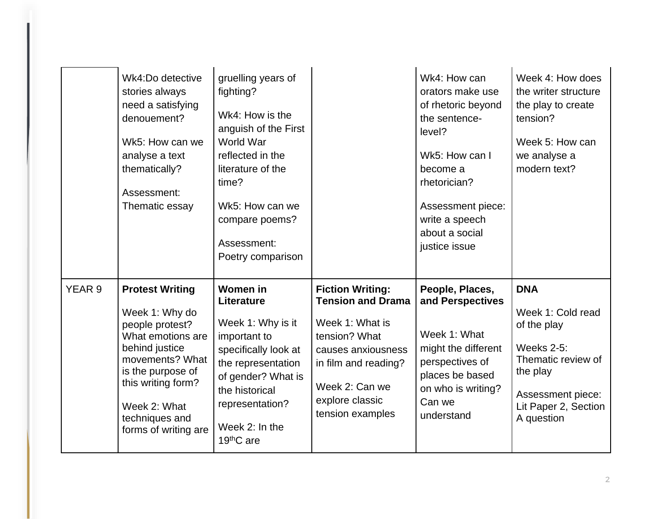|                   | Wk4:Do detective<br>stories always<br>need a satisfying<br>denouement?<br>Wk5: How can we<br>analyse a text<br>thematically?<br>Assessment:<br>Thematic essay                                                              | gruelling years of<br>fighting?<br>Wk4: How is the<br>anguish of the First<br>World War<br>reflected in the<br>literature of the<br>time?<br>Wk5: How can we<br>compare poems?<br>Assessment:<br>Poetry comparison |                                                                                                                                                                                                | Wk4: How can<br>orators make use<br>of rhetoric beyond<br>the sentence-<br>level?<br>Wk5: How can I<br>become a<br>rhetorician?<br>Assessment piece:<br>write a speech<br>about a social<br>justice issue | Week 4: How does<br>the writer structure<br>the play to create<br>tension?<br>Week 5: How can<br>we analyse a<br>modern text?                                    |
|-------------------|----------------------------------------------------------------------------------------------------------------------------------------------------------------------------------------------------------------------------|--------------------------------------------------------------------------------------------------------------------------------------------------------------------------------------------------------------------|------------------------------------------------------------------------------------------------------------------------------------------------------------------------------------------------|-----------------------------------------------------------------------------------------------------------------------------------------------------------------------------------------------------------|------------------------------------------------------------------------------------------------------------------------------------------------------------------|
| YEAR <sub>9</sub> | <b>Protest Writing</b><br>Week 1: Why do<br>people protest?<br>What emotions are<br>behind justice<br>movements? What<br>is the purpose of<br>this writing form?<br>Week 2: What<br>techniques and<br>forms of writing are | <b>Women in</b><br>Literature<br>Week 1: Why is it<br>important to<br>specifically look at<br>the representation<br>of gender? What is<br>the historical<br>representation?<br>Week 2: In the<br>19thC are         | <b>Fiction Writing:</b><br><b>Tension and Drama</b><br>Week 1: What is<br>tension? What<br>causes anxiousness<br>in film and reading?<br>Week 2: Can we<br>explore classic<br>tension examples | People, Places,<br>and Perspectives<br>Week 1: What<br>might the different<br>perspectives of<br>places be based<br>on who is writing?<br>Can we<br>understand                                            | <b>DNA</b><br>Week 1: Cold read<br>of the play<br><b>Weeks 2-5:</b><br>Thematic review of<br>the play<br>Assessment piece:<br>Lit Paper 2, Section<br>A question |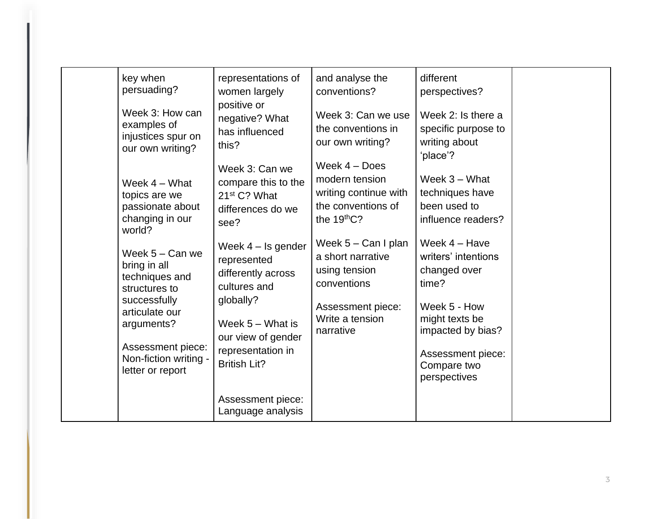| representations of<br>different<br>key when<br>and analyse the<br>persuading?<br>conventions?<br>women largely<br>perspectives?<br>positive or<br>Week 3: How can<br>Week 3: Can we use<br>Week 2: Is there a<br>negative? What<br>examples of<br>the conventions in<br>specific purpose to<br>has influenced<br>injustices spur on<br>writing about<br>our own writing?<br>this?<br>our own writing?<br>'place'?<br>Week $4 - Does$<br>Week 3: Can we<br>Week $3 -$ What<br>modern tension<br>compare this to the<br>Week $4 - What$                                                                                                                                                                                                                                                                                                                                                        |               |                          |                       |                 |  |
|----------------------------------------------------------------------------------------------------------------------------------------------------------------------------------------------------------------------------------------------------------------------------------------------------------------------------------------------------------------------------------------------------------------------------------------------------------------------------------------------------------------------------------------------------------------------------------------------------------------------------------------------------------------------------------------------------------------------------------------------------------------------------------------------------------------------------------------------------------------------------------------------|---------------|--------------------------|-----------------------|-----------------|--|
|                                                                                                                                                                                                                                                                                                                                                                                                                                                                                                                                                                                                                                                                                                                                                                                                                                                                                              | topics are we | 21 <sup>st</sup> C? What | writing continue with | techniques have |  |
| been used to<br>the conventions of<br>passionate about<br>differences do we<br>changing in our<br>the $19thC$ ?<br>influence readers?<br>see?<br>world?<br>Week $5 - Can I$ plan<br>Week 4 - Have<br>Week $4 -$ Is gender<br>Week $5 - Can$ we<br>writers' intentions<br>a short narrative<br>represented<br>bring in all<br>changed over<br>using tension<br>differently across<br>techniques and<br>time?<br>conventions<br>cultures and<br>structures to<br>globally?<br>successfully<br>Week 5 - How<br>Assessment piece:<br>articulate our<br>Write a tension<br>might texts be<br>Week $5 -$ What is<br>arguments?<br>impacted by bias?<br>narrative<br>our view of gender<br>Assessment piece:<br>representation in<br>Assessment piece:<br>Non-fiction writing -<br><b>British Lit?</b><br>Compare two<br>letter or report<br>perspectives<br>Assessment piece:<br>Language analysis |               |                          |                       |                 |  |